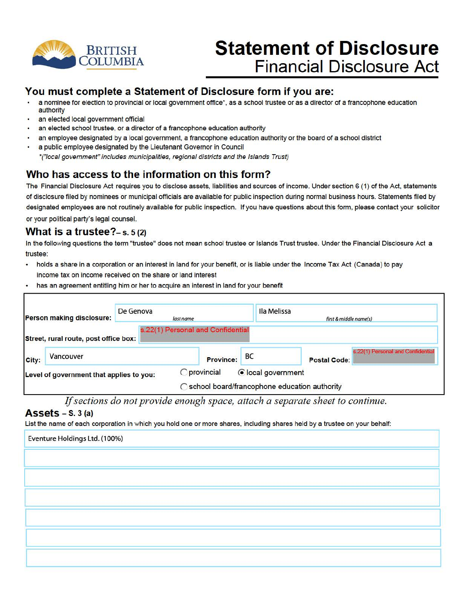

# **Statement of Disclosure Financial Disclosure Act**

### **You must complete a Statement of Disclosure form if you are:**

- a nominee for election to provincial or local government office\*, as a school trustee or as a director of a francophone education authority
- an elected local government official
- an elected school trustee, or a director of a francophone education authority
- an employee designated by a local government, a francophone education authority or the board of a school district
- a public employee designated by the Lieutenant Governor in Council
	- •("local government" includes municipalities, regional districts and the Islands Trust)

## **Who has access to the information on this form?**

The Financial Disclosure Act requires you to disclose assets, liabilities and sources of income. Under section 6 (1) of the Act, statements of disclosure filed by nominees or municipal officials are available for public inspection during normal business hours. Statements filed by designated employees are not routinely available for public inspection. If you have questions about this form, please contact your solicitor or your political party's legal counsel.

### **What is a trustee?-s.** s (2)

In the following questions the term "trustee" does not mean school trustee or Islands Trust trustee. Under the Financial Disclosure Act a trustee:

- holds a share in a corporation or an interest in land for your benefit, or is liable under the Income Tax Act (Canada) to pay income tax on income received on the share or land interest
- has an agreement entitling him or her to acquire an interest in land for your benefit

| De Genova<br>Person making disclosure: |                                          | Ila Melissa<br>last name          |                    |                                                | first & middle name(s)            |  |
|----------------------------------------|------------------------------------------|-----------------------------------|--------------------|------------------------------------------------|-----------------------------------|--|
|                                        | Street, rural route, post office box:    | s.22(1) Personal and Confidential |                    |                                                |                                   |  |
| City:                                  | Vancouver                                | <b>Province:</b>                  | BC                 | <b>Postal Code:</b>                            | s.22(1) Personal and Confidential |  |
|                                        | Level of government that applies to you: | <b>O</b> provincial               | ● local government | ◯ school board/francophone education authority |                                   |  |

If sections do not provide enough space, attach a separate sheet to continue.

### **Assets** - s. 3 (a)

List the name of each corporation in which you hold one or more shares, including shares held by a trustee on your behalf:

| Eventure Holdings Ltd. (100%) |  |  |
|-------------------------------|--|--|
|                               |  |  |
|                               |  |  |
|                               |  |  |
|                               |  |  |
|                               |  |  |
|                               |  |  |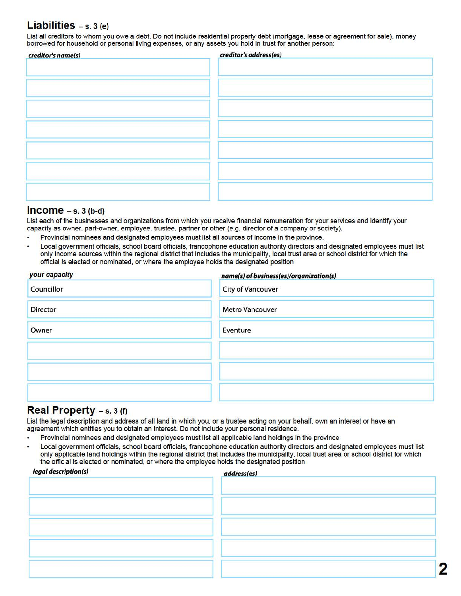### **Liabilities** - s. 3 (e)

List all creditors to whom you owe a debt. Do not include residential property debt (mortgage, lease or agreement for sale), money borrowed for household or personal living expenses, or any assets you hold in trust for another person:

| creditor's address(es) |
|------------------------|
|                        |
|                        |
|                        |
|                        |
|                        |
|                        |
|                        |
|                        |
|                        |
|                        |
|                        |
|                        |
|                        |
|                        |
|                        |
|                        |
|                        |
|                        |
|                        |

### **Income** - s. 3 (b-d)

List each of the businesses and organizations from which you receive financial remuneration for your services and identify your capacity as owner, part-owner, employee, trustee, partner or other (e.g. director of a company or society).

- Provincial nominees and designated employees must list all sources of income in the province.
- Local government officials, school board officials, francophone education authority directors and designated employees must list only income sources within the regional district that includes the municipality, local trust area or school district for which the official is elected or nominated, or where the employee holds the designated position

| your capacity | name(s) of business(es)/organization(s) |
|---------------|-----------------------------------------|
| Councillor    | City of Vancouver                       |
| Director      | <b>Metro Vancouver</b>                  |
| Owner         | Eventure                                |
|               |                                         |
|               |                                         |
|               |                                         |

### **Real Property** - s. 3 (f)

List the legal description and address of all land in which you, or a trustee acting on your behalf, own an interest or have an agreement which entitles you to obtain an interest. Do not include your personal residence.

- Provincial nominees and designated employees must list all applicable land holdings in the province
- Local government officials, school board officials, francophone education authority directors and designated employees must list only applicable land holdings within the regional district that includes the municipality, local trust area or school district for which

| legal description(s) | address(es) |  |
|----------------------|-------------|--|
|                      |             |  |
|                      |             |  |
|                      |             |  |
|                      |             |  |